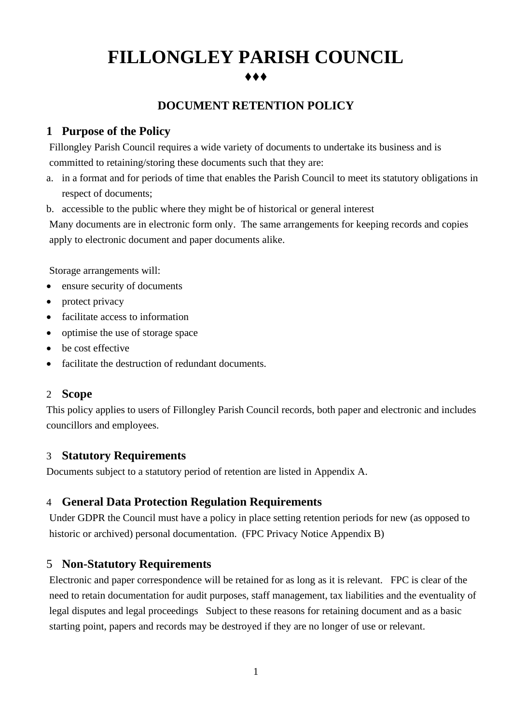# **FILLONGLEY PARISH COUNCIL** ⧫⧫⧫

## **DOCUMENT RETENTION POLICY**

## **1 Purpose of the Policy**

Fillongley Parish Council requires a wide variety of documents to undertake its business and is committed to retaining/storing these documents such that they are:

- a. in a format and for periods of time that enables the Parish Council to meet its statutory obligations in respect of documents;
- b. accessible to the public where they might be of historical or general interest

Many documents are in electronic form only. The same arrangements for keeping records and copies apply to electronic document and paper documents alike.

Storage arrangements will:

- ensure security of documents
- protect privacy
- facilitate access to information
- optimise the use of storage space
- be cost effective
- facilitate the destruction of redundant documents.

#### 2 **Scope**

This policy applies to users of Fillongley Parish Council records, both paper and electronic and includes councillors and employees.

## 3 **Statutory Requirements**

Documents subject to a statutory period of retention are listed in Appendix A.

## 4 **General Data Protection Regulation Requirements**

Under GDPR the Council must have a policy in place setting retention periods for new (as opposed to historic or archived) personal documentation. (FPC Privacy Notice Appendix B)

## 5 **Non-Statutory Requirements**

Electronic and paper correspondence will be retained for as long as it is relevant. FPC is clear of the need to retain documentation for audit purposes, staff management, tax liabilities and the eventuality of legal disputes and legal proceedings Subject to these reasons for retaining document and as a basic starting point, papers and records may be destroyed if they are no longer of use or relevant.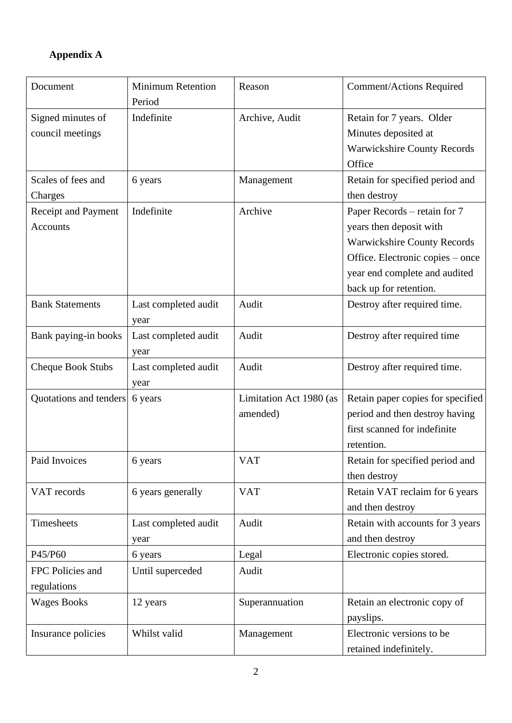## **Appendix A**

| Document               | <b>Minimum Retention</b><br>Period | Reason                  | <b>Comment/Actions Required</b>    |
|------------------------|------------------------------------|-------------------------|------------------------------------|
| Signed minutes of      | Indefinite                         | Archive, Audit          | Retain for 7 years. Older          |
| council meetings       |                                    |                         | Minutes deposited at               |
|                        |                                    |                         | Warwickshire County Records        |
|                        |                                    |                         | Office                             |
| Scales of fees and     | 6 years                            | Management              | Retain for specified period and    |
| Charges                |                                    |                         | then destroy                       |
| Receipt and Payment    | Indefinite                         | Archive                 | Paper Records – retain for 7       |
| <b>Accounts</b>        |                                    |                         | years then deposit with            |
|                        |                                    |                         | <b>Warwickshire County Records</b> |
|                        |                                    |                         | Office. Electronic copies – once   |
|                        |                                    |                         | year end complete and audited      |
|                        |                                    |                         | back up for retention.             |
| <b>Bank Statements</b> | Last completed audit<br>year       | Audit                   | Destroy after required time.       |
| Bank paying-in books   | Last completed audit               | Audit                   | Destroy after required time        |
|                        | year                               |                         |                                    |
| Cheque Book Stubs      | Last completed audit               | Audit                   | Destroy after required time.       |
|                        | year                               |                         |                                    |
| Quotations and tenders | 6 years                            | Limitation Act 1980 (as | Retain paper copies for specified  |
|                        |                                    | amended)                | period and then destroy having     |
|                        |                                    |                         | first scanned for indefinite       |
|                        |                                    |                         | retention.                         |
| Paid Invoices          | 6 years                            | <b>VAT</b>              | Retain for specified period and    |
|                        |                                    |                         | then destroy                       |
| VAT records            | 6 years generally                  | <b>VAT</b>              | Retain VAT reclaim for 6 years     |
|                        |                                    |                         | and then destroy                   |
| Timesheets             | Last completed audit               | Audit                   | Retain with accounts for 3 years   |
|                        | year                               |                         | and then destroy                   |
| P45/P60                | 6 years                            | Legal                   | Electronic copies stored.          |
| FPC Policies and       | Until superceded                   | Audit                   |                                    |
| regulations            |                                    |                         |                                    |
| <b>Wages Books</b>     | 12 years                           | Superannuation          | Retain an electronic copy of       |
|                        |                                    |                         | payslips.                          |
| Insurance policies     | Whilst valid                       | Management              | Electronic versions to be          |
|                        |                                    |                         | retained indefinitely.             |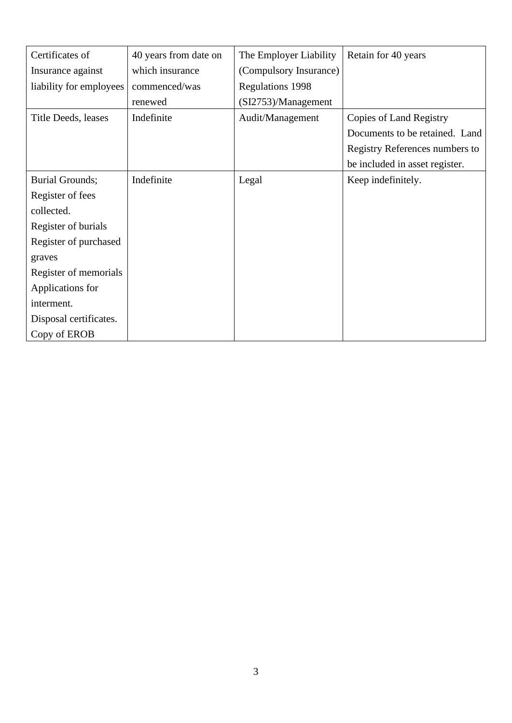| Certificates of         | 40 years from date on | The Employer Liability  | Retain for 40 years            |
|-------------------------|-----------------------|-------------------------|--------------------------------|
| Insurance against       | which insurance       | (Compulsory Insurance)  |                                |
| liability for employees | commenced/was         | <b>Regulations 1998</b> |                                |
|                         | renewed               | (SI2753)/Management     |                                |
| Title Deeds, leases     | Indefinite            | Audit/Management        | <b>Copies of Land Registry</b> |
|                         |                       |                         | Documents to be retained. Land |
|                         |                       |                         | Registry References numbers to |
|                         |                       |                         | be included in asset register. |
| <b>Burial Grounds;</b>  | Indefinite            | Legal                   | Keep indefinitely.             |
| Register of fees        |                       |                         |                                |
| collected.              |                       |                         |                                |
| Register of burials     |                       |                         |                                |
| Register of purchased   |                       |                         |                                |
| graves                  |                       |                         |                                |
| Register of memorials   |                       |                         |                                |
| Applications for        |                       |                         |                                |
| interment.              |                       |                         |                                |
| Disposal certificates.  |                       |                         |                                |
| Copy of EROB            |                       |                         |                                |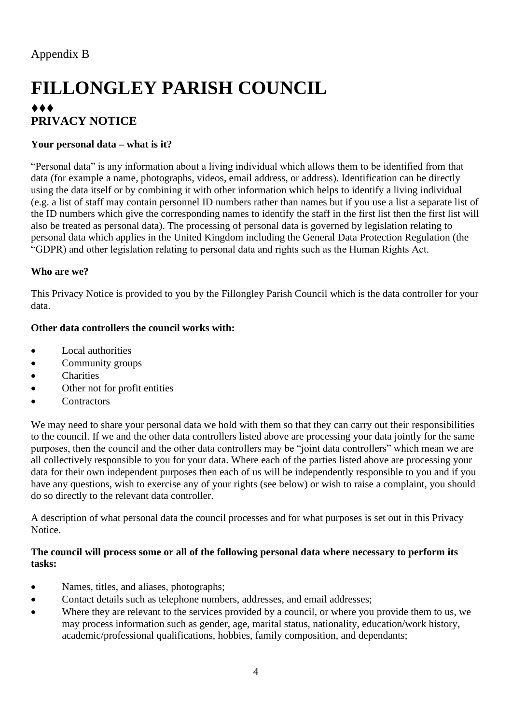# **FILLONGLEY PARISH COUNCIL** ⧫⧫⧫ **PRIVACY NOTICE**

## **Your personal data – what is it?**

"Personal data" is any information about a living individual which allows them to be identified from that data (for example a name, photographs, videos, email address, or address). Identification can be directly using the data itself or by combining it with other information which helps to identify a living individual (e.g. a list of staff may contain personnel ID numbers rather than names but if you use a list a separate list of the ID numbers which give the corresponding names to identify the staff in the first list then the first list will also be treated as personal data). The processing of personal data is governed by legislation relating to personal data which applies in the United Kingdom including the General Data Protection Regulation (the "GDPR) and other legislation relating to personal data and rights such as the Human Rights Act.

#### **Who are we?**

This Privacy Notice is provided to you by the Fillongley Parish Council which is the data controller for your data.

#### **Other data controllers the council works with:**

- Local authorities
- Community groups
- Charities
- Other not for profit entities
- **Contractors**

We may need to share your personal data we hold with them so that they can carry out their responsibilities to the council. If we and the other data controllers listed above are processing your data jointly for the same purposes, then the council and the other data controllers may be "joint data controllers" which mean we are all collectively responsible to you for your data. Where each of the parties listed above are processing your data for their own independent purposes then each of us will be independently responsible to you and if you have any questions, wish to exercise any of your rights (see below) or wish to raise a complaint, you should do so directly to the relevant data controller.

A description of what personal data the council processes and for what purposes is set out in this Privacy Notice.

#### **The council will process some or all of the following personal data where necessary to perform its tasks:**

- Names, titles, and aliases, photographs;
- Contact details such as telephone numbers, addresses, and email addresses;
- Where they are relevant to the services provided by a council, or where you provide them to us, we may process information such as gender, age, marital status, nationality, education/work history, academic/professional qualifications, hobbies, family composition, and dependants;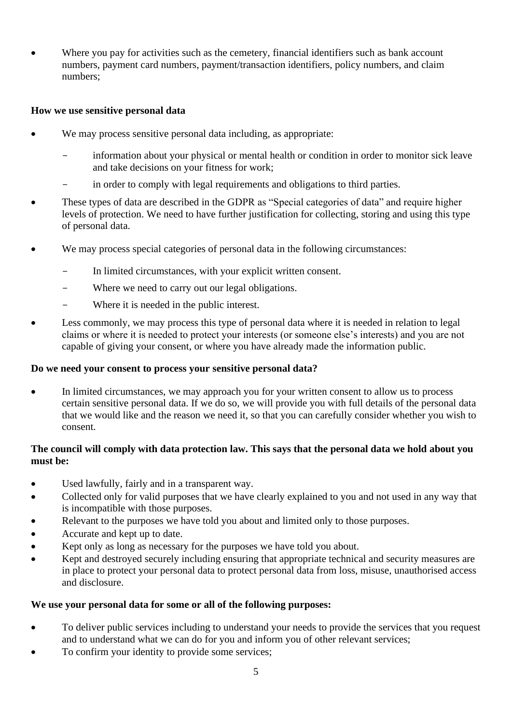Where you pay for activities such as the cemetery, financial identifiers such as bank account numbers, payment card numbers, payment/transaction identifiers, policy numbers, and claim numbers;

#### **How we use sensitive personal data**

- We may process sensitive personal data including, as appropriate:
	- information about your physical or mental health or condition in order to monitor sick leave and take decisions on your fitness for work;
	- in order to comply with legal requirements and obligations to third parties.
- These types of data are described in the GDPR as "Special categories of data" and require higher levels of protection. We need to have further justification for collecting, storing and using this type of personal data.
- We may process special categories of personal data in the following circumstances:
	- In limited circumstances, with your explicit written consent.
	- Where we need to carry out our legal obligations.
	- Where it is needed in the public interest.
- Less commonly, we may process this type of personal data where it is needed in relation to legal claims or where it is needed to protect your interests (or someone else's interests) and you are not capable of giving your consent, or where you have already made the information public.

#### **Do we need your consent to process your sensitive personal data?**

• In limited circumstances, we may approach you for your written consent to allow us to process certain sensitive personal data. If we do so, we will provide you with full details of the personal data that we would like and the reason we need it, so that you can carefully consider whether you wish to consent.

### **The council will comply with data protection law. This says that the personal data we hold about you must be:**

- Used lawfully, fairly and in a transparent way.
- Collected only for valid purposes that we have clearly explained to you and not used in any way that is incompatible with those purposes.
- Relevant to the purposes we have told you about and limited only to those purposes.
- Accurate and kept up to date.
- Kept only as long as necessary for the purposes we have told you about.
- Kept and destroyed securely including ensuring that appropriate technical and security measures are in place to protect your personal data to protect personal data from loss, misuse, unauthorised access and disclosure.

#### **We use your personal data for some or all of the following purposes:**

- To deliver public services including to understand your needs to provide the services that you request and to understand what we can do for you and inform you of other relevant services;
- To confirm your identity to provide some services;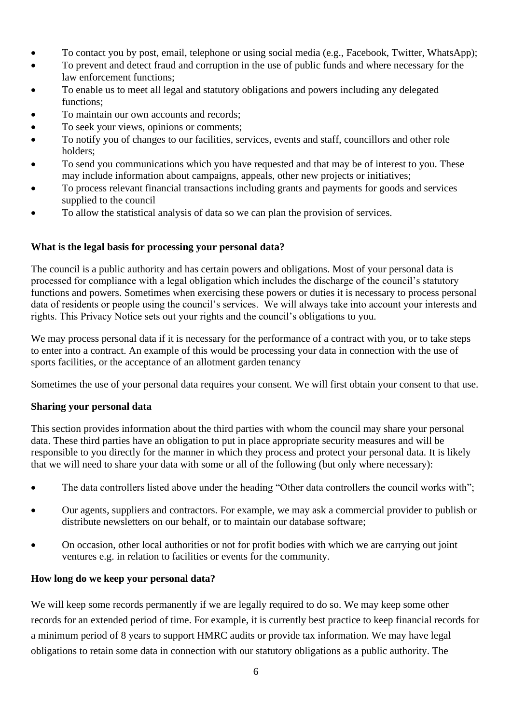- To contact you by post, email, telephone or using social media (e.g., Facebook, Twitter, WhatsApp);
- To prevent and detect fraud and corruption in the use of public funds and where necessary for the law enforcement functions;
- To enable us to meet all legal and statutory obligations and powers including any delegated functions:
- To maintain our own accounts and records;
- To seek your views, opinions or comments;
- To notify you of changes to our facilities, services, events and staff, councillors and other role holders;
- To send you communications which you have requested and that may be of interest to you. These may include information about campaigns, appeals, other new projects or initiatives;
- To process relevant financial transactions including grants and payments for goods and services supplied to the council
- To allow the statistical analysis of data so we can plan the provision of services.

#### **What is the legal basis for processing your personal data?**

The council is a public authority and has certain powers and obligations. Most of your personal data is processed for compliance with a legal obligation which includes the discharge of the council's statutory functions and powers. Sometimes when exercising these powers or duties it is necessary to process personal data of residents or people using the council's services. We will always take into account your interests and rights. This Privacy Notice sets out your rights and the council's obligations to you.

We may process personal data if it is necessary for the performance of a contract with you, or to take steps to enter into a contract. An example of this would be processing your data in connection with the use of sports facilities, or the acceptance of an allotment garden tenancy

Sometimes the use of your personal data requires your consent. We will first obtain your consent to that use.

#### **Sharing your personal data**

This section provides information about the third parties with whom the council may share your personal data. These third parties have an obligation to put in place appropriate security measures and will be responsible to you directly for the manner in which they process and protect your personal data. It is likely that we will need to share your data with some or all of the following (but only where necessary):

- The data controllers listed above under the heading "Other data controllers the council works with";
- Our agents, suppliers and contractors. For example, we may ask a commercial provider to publish or distribute newsletters on our behalf, or to maintain our database software;
- On occasion, other local authorities or not for profit bodies with which we are carrying out joint ventures e.g. in relation to facilities or events for the community.

#### **How long do we keep your personal data?**

We will keep some records permanently if we are legally required to do so. We may keep some other records for an extended period of time. For example, it is currently best practice to keep financial records for a minimum period of 8 years to support HMRC audits or provide tax information. We may have legal obligations to retain some data in connection with our statutory obligations as a public authority. The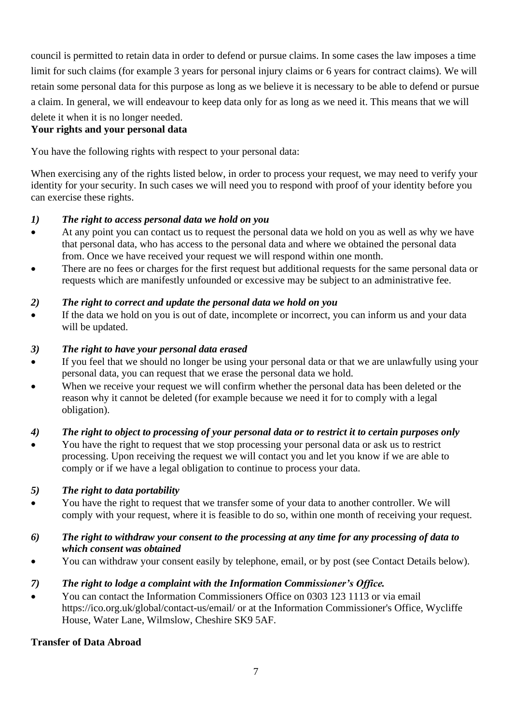council is permitted to retain data in order to defend or pursue claims. In some cases the law imposes a time limit for such claims (for example 3 years for personal injury claims or 6 years for contract claims). We will retain some personal data for this purpose as long as we believe it is necessary to be able to defend or pursue a claim. In general, we will endeavour to keep data only for as long as we need it. This means that we will delete it when it is no longer needed.

## **Your rights and your personal data**

You have the following rights with respect to your personal data:

When exercising any of the rights listed below, in order to process your request, we may need to verify your identity for your security. In such cases we will need you to respond with proof of your identity before you can exercise these rights.

## *1) The right to access personal data we hold on you*

- At any point you can contact us to request the personal data we hold on you as well as why we have that personal data, who has access to the personal data and where we obtained the personal data from. Once we have received your request we will respond within one month.
- There are no fees or charges for the first request but additional requests for the same personal data or requests which are manifestly unfounded or excessive may be subject to an administrative fee.

## *2) The right to correct and update the personal data we hold on you*

If the data we hold on you is out of date, incomplete or incorrect, you can inform us and your data will be updated.

## *3) The right to have your personal data erased*

- If you feel that we should no longer be using your personal data or that we are unlawfully using your personal data, you can request that we erase the personal data we hold.
- When we receive your request we will confirm whether the personal data has been deleted or the reason why it cannot be deleted (for example because we need it for to comply with a legal obligation).

## *4) The right to object to processing of your personal data or to restrict it to certain purposes only*

• You have the right to request that we stop processing your personal data or ask us to restrict processing. Upon receiving the request we will contact you and let you know if we are able to comply or if we have a legal obligation to continue to process your data.

## *5) The right to data portability*

• You have the right to request that we transfer some of your data to another controller. We will comply with your request, where it is feasible to do so, within one month of receiving your request.

### *6) The right to withdraw your consent to the processing at any time for any processing of data to which consent was obtained*

• You can withdraw your consent easily by telephone, email, or by post (see Contact Details below).

## *7) The right to lodge a complaint with the Information Commissioner's Office.*

• You can contact the Information Commissioners Office on 0303 123 1113 or via email https://ico.org.uk/global/contact-us/email/ or at the Information Commissioner's Office, Wycliffe House, Water Lane, Wilmslow, Cheshire SK9 5AF.

## **Transfer of Data Abroad**